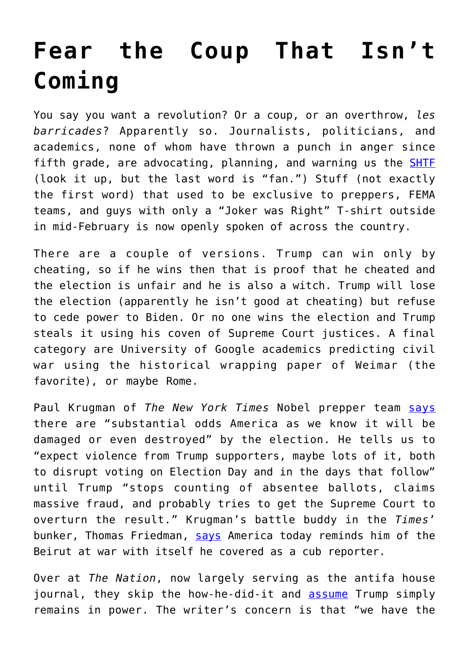## **[Fear the Coup That Isn't](https://intellectualtakeout.org/2020/10/fear-the-coup-that-isnt-coming/) [Coming](https://intellectualtakeout.org/2020/10/fear-the-coup-that-isnt-coming/)**

You say you want a revolution? Or a coup, or an overthrow, *les barricades*? Apparently so. Journalists, politicians, and academics, none of whom have thrown a punch in anger since fifth grade, are advocating, planning, and warning us the **[SHTF](https://www.survivaljoe.net/prepper-acronyms/)** (look it up, but the last word is "fan.") Stuff (not exactly the first word) that used to be exclusive to preppers, FEMA teams, and guys with only a "Joker was Right" T-shirt outside in mid-February is now openly spoken of across the country.

There are a couple of versions. Trump can win only by cheating, so if he wins then that is proof that he cheated and the election is unfair and he is also a witch. Trump will lose the election (apparently he isn't good at cheating) but refuse to cede power to Biden. Or no one wins the election and Trump steals it using his coven of Supreme Court justices. A final category are University of Google academics predicting civil war using the historical wrapping paper of Weimar (the favorite), or maybe Rome.

Paul Krugman of *The New York Times* Nobel prepper team [says](https://www.redstate.com/sister-toldjah/2020/09/23/bless-his-heart-paul-krugman-goes-full-dingbat-in-latest-trump-election-day-conspiracy-theory/) there are "substantial odds America as we know it will be damaged or even destroyed" by the election. He tells us to "expect violence from Trump supporters, maybe lots of it, both to disrupt voting on Election Day and in the days that follow" until Trump "stops counting of absentee ballots, claims massive fraud, and probably tries to get the Supreme Court to overturn the result." Krugman's battle buddy in the *Times*' bunker, Thomas Friedman, [says](https://www.nytimes.com/2020/08/09/opinion/trump-beirut-politics.html) America today reminds him of the Beirut at war with itself he covered as a cub reporter.

Over at *The Nation*, now largely serving as the antifa house journal, they skip the how-he-did-it and [assume](https://www.thenation.com/article/politics/trump-election-steal/) Trump simply remains in power. The writer's concern is that "we have the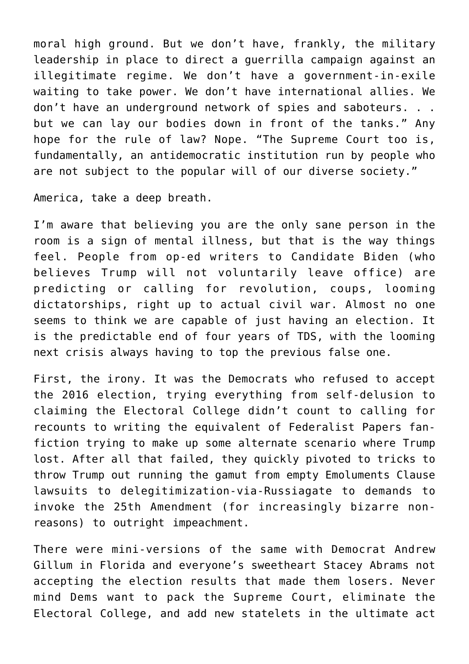moral high ground. But we don't have, frankly, the military leadership in place to direct a guerrilla campaign against an illegitimate regime. We don't have a government-in-exile waiting to take power. We don't have international allies. We don't have an underground network of spies and saboteurs. . . but we can lay our bodies down in front of the tanks." Any hope for the rule of law? Nope. "The Supreme Court too is, fundamentally, an antidemocratic institution run by people who are not subject to the popular will of our diverse society."

America, take a deep breath.

I'm aware that believing you are the only sane person in the room is a sign of mental illness, but that is the way things feel. People from op-ed writers to Candidate Biden (who believes Trump will not voluntarily leave office) are predicting or calling for revolution, coups, looming dictatorships, right up to actual civil war. Almost no one seems to think we are capable of just having an election. It is the predictable end of four years of TDS, with the looming next crisis always having to top the previous false one.

First, the irony. It was the Democrats who refused to accept the 2016 election, trying everything from self-delusion to claiming the Electoral College didn't count to calling for recounts to writing the equivalent of Federalist Papers fanfiction trying to make up some alternate scenario where Trump lost. After all that failed, they quickly pivoted to tricks to throw Trump out running the gamut from empty Emoluments Clause lawsuits to delegitimization-via-Russiagate to demands to invoke the 25th Amendment (for increasingly bizarre nonreasons) to outright impeachment.

There were mini-versions of the same with Democrat Andrew Gillum in Florida and everyone's sweetheart Stacey Abrams not accepting the election results that made them losers. Never mind Dems want to pack the Supreme Court, eliminate the Electoral College, and add new statelets in the ultimate act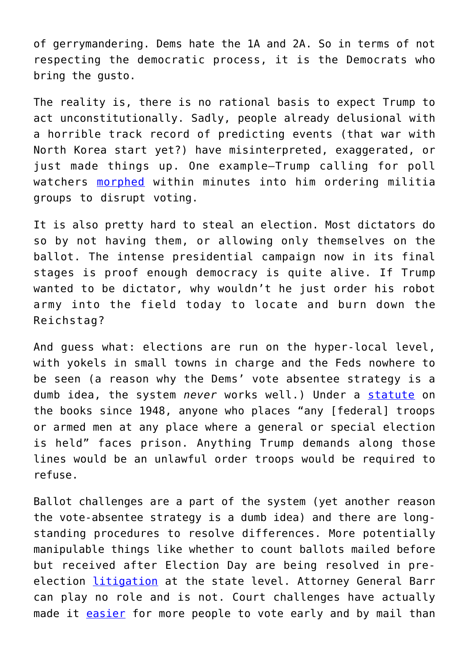of gerrymandering. Dems hate the 1A and 2A. So in terms of not respecting the democratic process, it is the Democrats who bring the gusto.

The reality is, there is no rational basis to expect Trump to act unconstitutionally. Sadly, people already delusional with a horrible track record of predicting events (that war with North Korea start yet?) have misinterpreted, exaggerated, or just made things up. One example—Trump calling for poll watchers [morphed](https://www.esquire.com/news-politics/politics/a34215453/president-trump-first-debate-pure-fascism/) within minutes into him ordering militia groups to disrupt voting.

It is also pretty hard to steal an election. Most dictators do so by not having them, or allowing only themselves on the ballot. The intense presidential campaign now in its final stages is proof enough democracy is quite alive. If Trump wanted to be dictator, why wouldn't he just order his robot army into the field today to locate and burn down the Reichstag?

And guess what: elections are run on the hyper-local level, with yokels in small towns in charge and the Feds nowhere to be seen (a reason why the Dems' vote absentee strategy is a dumb idea, the system *never* works well.) Under a [statute](https://www.law.cornell.edu/uscode/text/18/592) on the books since 1948, anyone who places "any [federal] troops or armed men at any place where a general or special election is held" faces prison. Anything Trump demands along those lines would be an unlawful order troops would be required to refuse.

Ballot challenges are a part of the system (yet another reason the vote-absentee strategy is a dumb idea) and there are longstanding procedures to resolve differences. More potentially manipulable things like whether to count ballots mailed before but received after Election Day are being resolved in preelection [litigation](https://www.politico.com/news/magazine/2020/10/05/6-reasons-not-to-panic-about-the-election-426415) at the state level. Attorney General Barr can play no role and is not. Court challenges have actually made it **[easier](https://www.brennancenter.org/our-work/research-reports/mail-voting-what-has-changed-2020)** for more people to vote early and by mail than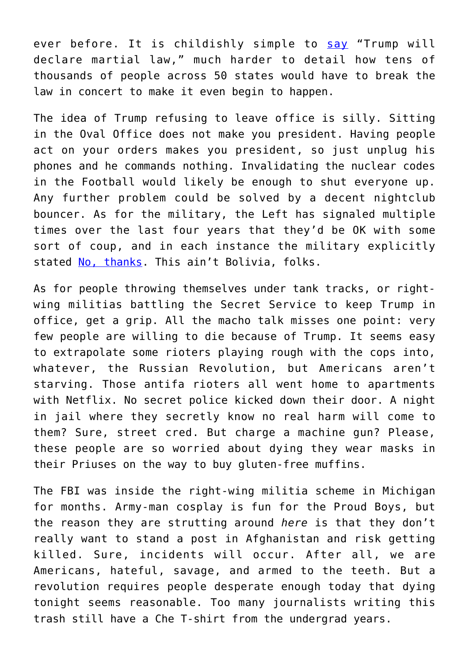ever before. It is childishly simple to [say](https://www.yahoo.com/huffpost/roger-stone-martial-law-donald-trump-election-001425669.html) "Trump will declare martial law," much harder to detail how tens of thousands of people across 50 states would have to break the law in concert to make it even begin to happen.

The idea of Trump refusing to leave office is silly. Sitting in the Oval Office does not make you president. Having people act on your orders makes you president, so just unplug his phones and he commands nothing. Invalidating the nuclear codes in the Football would likely be enough to shut everyone up. Any further problem could be solved by a decent nightclub bouncer. As for the military, the Left has signaled multiple times over the last four years that they'd be OK with some sort of coup, and in each instance the military explicitly stated [No, thanks.](https://boingboing.net/2020/08/28/no-military-role-in-u-s-elect.html) This ain't Bolivia, folks.

As for people throwing themselves under tank tracks, or rightwing militias battling the Secret Service to keep Trump in office, get a grip. All the macho talk misses one point: very few people are willing to die because of Trump. It seems easy to extrapolate some rioters playing rough with the cops into, whatever, the Russian Revolution, but Americans aren't starving. Those antifa rioters all went home to apartments with Netflix. No secret police kicked down their door. A night in jail where they secretly know no real harm will come to them? Sure, street cred. But charge a machine gun? Please, these people are so worried about dying they wear masks in their Priuses on the way to buy gluten-free muffins.

The FBI was inside the right-wing militia scheme in Michigan for months. Army-man cosplay is fun for the Proud Boys, but the reason they are strutting around *here* is that they don't really want to stand a post in Afghanistan and risk getting killed. Sure, incidents will occur. After all, we are Americans, hateful, savage, and armed to the teeth. But a revolution requires people desperate enough today that dying tonight seems reasonable. Too many journalists writing this trash still have a Che T-shirt from the undergrad years.